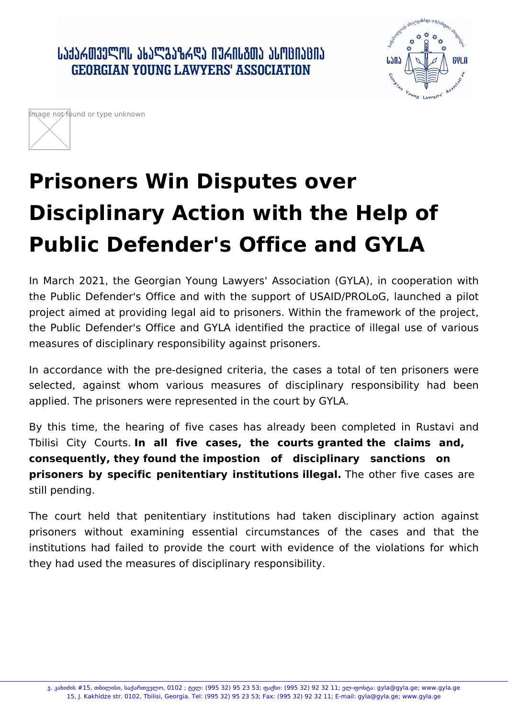ᲡᲐᲥᲐᲠᲗᲕᲔᲚᲝᲡ ᲐᲮᲐᲚᲒᲐᲖᲠᲓᲐ ᲘᲣᲠᲘᲡᲒᲗᲐ ᲐᲡᲝᲪᲘᲐᲪᲘᲐ **GEORGIAN YOUNG LAWYERS' ASSOCIATION** 





## **Prisoners Win Disputes over Disciplinary Action with the Help of Public Defender's Office and GYLA**

In March 2021, the Georgian Young Lawyers' Association (GYLA), in cooperation with the Public Defender's Office and with the support of USAID/PROLoG, launched a pilot project aimed at providing legal aid to prisoners. Within the framework of the project, the Public Defender's Office and GYLA identified the practice of illegal use of various measures of disciplinary responsibility against prisoners.

In accordance with the pre-designed criteria, the cases a total of ten prisoners were selected, against whom various measures of disciplinary responsibility had been applied. The prisoners were represented in the court by GYLA.

By this time, the hearing of five cases has already been completed in Rustavi and Tbilisi City Courts. **In all five cases, the courts granted the claims and, consequently, they found the impostion of disciplinary sanctions on prisoners by specific penitentiary institutions illegal.** The other five cases are still pending.

The court held that penitentiary institutions had taken disciplinary action against prisoners without examining essential circumstances of the cases and that the institutions had failed to provide the court with evidence of the violations for which they had used the measures of disciplinary responsibility.